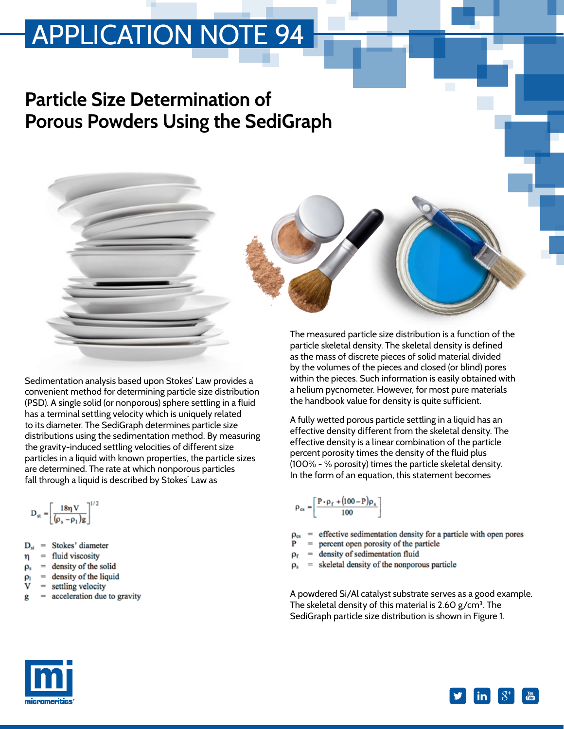#### **Particle Size Determination of Porous Powders Using the SediGraph**

The measured particle size distribution is a function of the particle skeletal density. The skeletal density is defined

Sedimentation analysis based upon Stokes' Law provides a convenient method for determining particle size distribution (PSD). A single solid (or nonporous) sphere settling in a fluid has a terminal settling velocity which is uniquely related to its diameter. The SediGraph determines particle size distributions using the sedimentation method. By measuring the gravity-induced settling velocities of different size particles in a liquid with known properties, the particle sizes are determined. The rate at which nonporous particles fall through a liquid is described by Stokes' Law as

$$
\mathbf{D}_{\rm st} = \left[\frac{18\eta\,\mathbf{V}}{(\rho_{\rm s}-\rho_1) \mathbf{g}}\right]^{1/2}
$$

- Stokes' diameter D.
- fluid viscosity 'n
- density of the solid  $\rho_s$
- density of the liquid
- = settling velocity
- acceleration due to gravity

as the mass of discrete pieces of solid material divided by the volumes of the pieces and closed (or blind) pores within the pieces. Such information is easily obtained with a helium pycnometer. However, for most pure materials the handbook value for density is quite sufficient.

A fully wetted porous particle settling in a liquid has an effective density different from the skeletal density. The effective density is a linear combination of the particle percent porosity times the density of the fluid plus (100% - % porosity) times the particle skeletal density. In the form of an equation, this statement becomes

$$
\rho_{\rm es} = \left[ \frac{P \cdot \rho_{\rm f} + (100 - P)\rho_{\rm s}}{100} \right]
$$

- effective sedimentation density for a particle with open pores
- = percent open porosity of the particle
- $=$  density of sedimentation fluid
- skeletal density of the nonporous particle

A powdered Si/Al catalyst substrate serves as a good example. The skeletal density of this material is 2.60 g/cm**<sup>3</sup>**. The SediGraph particle size distribution is shown in Figure 1.



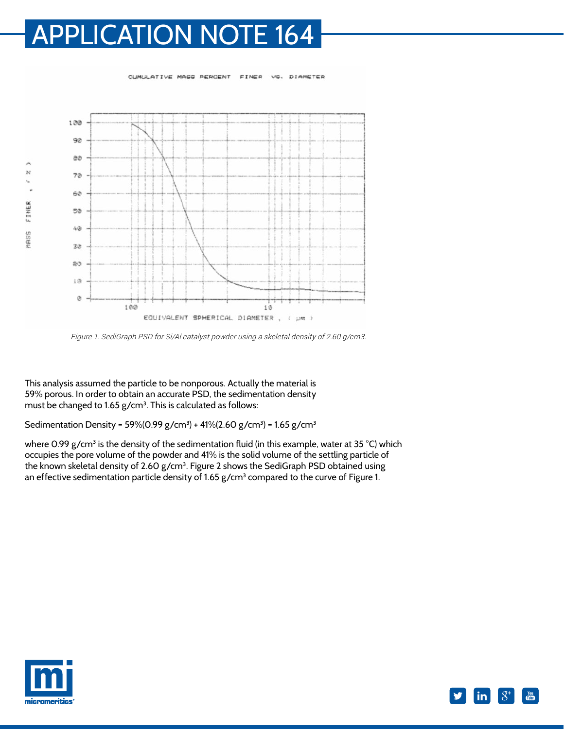CUMULATIVE MAGG PERCENT

EINER

VO. DIAMETER

 $100$ 90 90 ò  $\boldsymbol{\mathcal{N}}$  $70$ ¥ 60 MASS FINER 50  $4\,$ 30  $20$ 10 Ø 100 10 EQUIVALENT SPHERICAL DIAMETER  $\tilde{\epsilon}$  $\cup m$  $\mathbf{q}$ 

Figure 1. SediGraph PSD for Si/Al catalyst powder using a skeletal density of 2.60 g/cm3.

This analysis assumed the particle to be nonporous. Actually the material is 59% porous. In order to obtain an accurate PSD, the sedimentation density must be changed to 1.65 g/cm**<sup>3</sup>**. This is calculated as follows:

Sedimentation Density = 59%(0.99 g/cm**<sup>3</sup>** ) + 41%(2.60 g/cm**<sup>3</sup>** ) = 1.65 g/cm**<sup>3</sup>**

where 0.99 g/cm<sup>3</sup> is the density of the sedimentation fluid (in this example, water at 35 °C) which occupies the pore volume of the powder and 41% is the solid volume of the settling particle of the known skeletal density of 2.60 g/cm**<sup>3</sup>**. Figure 2 shows the SediGraph PSD obtained using an effective sedimentation particle density of 1.65 g/cm<sup>3</sup> compared to the curve of Figure 1.



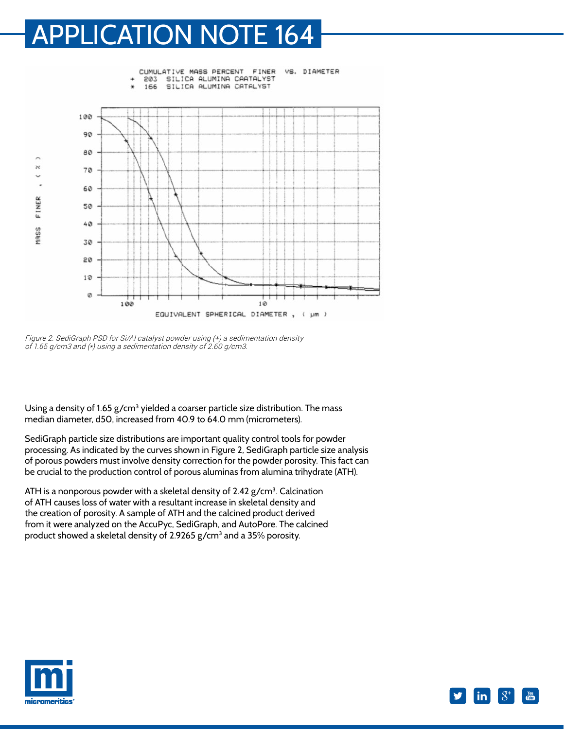

Figure 2. SediGraph PSD for Si/Al catalyst powder using (+) a sedimentation density of 1.65 g/cm3 and (\*) using a sedimentation density of 2.60 g/cm3.

Using a density of 1.65 g/cm<sup>3</sup> yielded a coarser particle size distribution. The mass median diameter, d50, increased from 40.9 to 64.0 mm (micrometers).

SediGraph particle size distributions are important quality control tools for powder processing. As indicated by the curves shown in Figure 2, SediGraph particle size analysis of porous powders must involve density correction for the powder porosity. This fact can be crucial to the production control of porous aluminas from alumina trihydrate (ATH).

ATH is a nonporous powder with a skeletal density of 2.42 g/cm**<sup>3</sup>**. Calcination of ATH causes loss of water with a resultant increase in skeletal density and the creation of porosity. A sample of ATH and the calcined product derived from it were analyzed on the AccuPyc, SediGraph, and AutoPore. The calcined product showed a skeletal density of 2.9265 g/cm**<sup>3</sup>** and a 35% porosity.



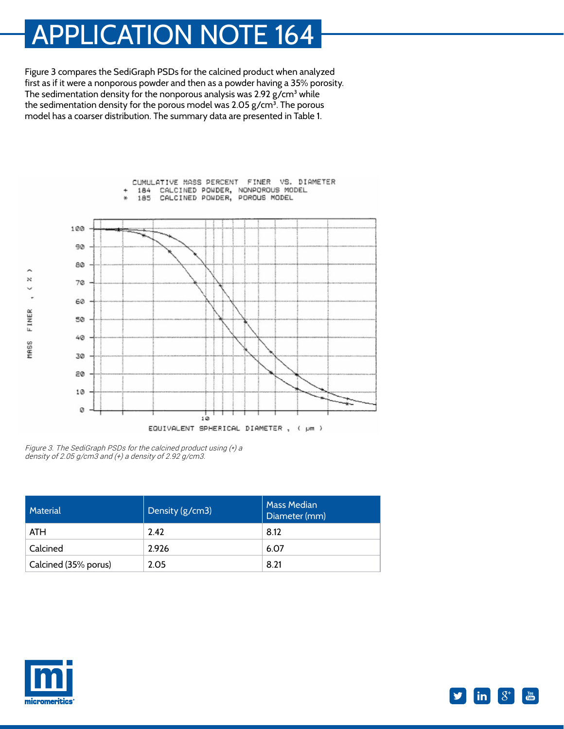Figure 3 compares the SediGraph PSDs for the calcined product when analyzed first as if it were a nonporous powder and then as a powder having a 35% porosity. The sedimentation density for the nonporous analysis was 2.92 g/cm**<sup>3</sup>** while the sedimentation density for the porous model was 2.05 g/cm**<sup>3</sup>**. The porous model has a coarser distribution. The summary data are presented in Table 1.



Figure 3. The SediGraph PSDs for the calcined product using (\*) a density of 2.05 g/cm3 and  $(+)$  a density of 2.92 g/cm3.

| Material             | Density (g/cm3) | <b>Mass Median</b><br>Diameter (mm) |
|----------------------|-----------------|-------------------------------------|
| <b>ATH</b>           | 2.42            | 8.12                                |
| Calcined             | 2.926           | 6.07                                |
| Calcined (35% porus) | 2.05            | 8.21                                |